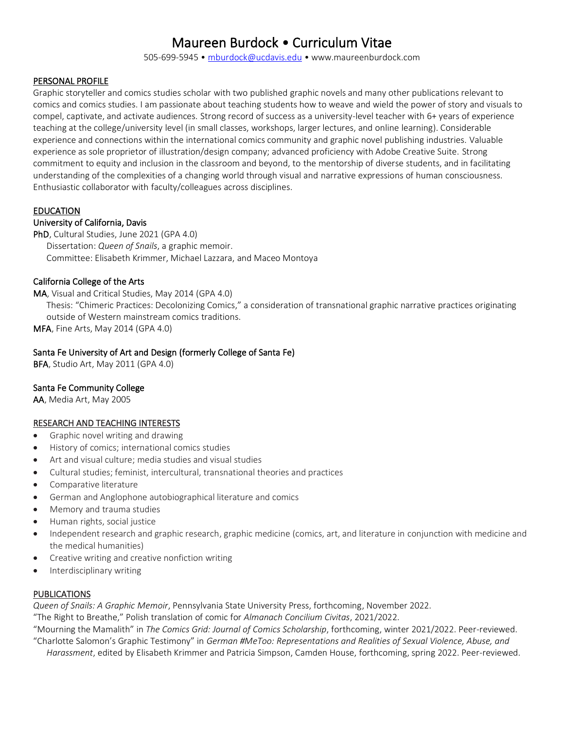# Maureen Burdock • Curriculum Vitae

505-699-5945 • [mburdock@ucdavis.edu](mailto:mburdock@ucdavis.edu) • www.maureenburdock.com

## PERSONAL PROFILE

Graphic storyteller and comics studies scholar with two published graphic novels and many other publications relevant to comics and comics studies. I am passionate about teaching students how to weave and wield the power of story and visuals to compel, captivate, and activate audiences. Strong record of success as a university-level teacher with 6+ years of experience teaching at the college/university level (in small classes, workshops, larger lectures, and online learning). Considerable experience and connections within the international comics community and graphic novel publishing industries. Valuable experience as sole proprietor of illustration/design company; advanced proficiency with Adobe Creative Suite. Strong commitment to equity and inclusion in the classroom and beyond, to the mentorship of diverse students, and in facilitating understanding of the complexities of a changing world through visual and narrative expressions of human consciousness. Enthusiastic collaborator with faculty/colleagues across disciplines.

### EDUCATION

### University of California, Davis

PhD, Cultural Studies, June 2021 (GPA 4.0) Dissertation: *Queen of Snails*, a graphic memoir. Committee: Elisabeth Krimmer, Michael Lazzara, and Maceo Montoya

## California College of the Arts

MA, Visual and Critical Studies, May 2014 (GPA 4.0)

Thesis: "Chimeric Practices: Decolonizing Comics," a consideration of transnational graphic narrative practices originating outside of Western mainstream comics traditions.

MFA, Fine Arts, May 2014 (GPA 4.0)

### Santa Fe University of Art and Design (formerly College of Santa Fe)

BFA,Studio Art, May 2011 (GPA 4.0)

## Santa Fe Community College

AA, Media Art, May 2005

#### RESEARCH AND TEACHING INTERESTS

- Graphic novel writing and drawing
- History of comics; international comics studies
- Art and visual culture; media studies and visual studies
- Cultural studies; feminist, intercultural, transnational theories and practices
- Comparative literature
- German and Anglophone autobiographical literature and comics
- Memory and trauma studies
- Human rights, social justice
- Independent research and graphic research, graphic medicine (comics, art, and literature in conjunction with medicine and the medical humanities)
- Creative writing and creative nonfiction writing
- Interdisciplinary writing

#### PUBLICATIONS

*Queen of Snails: A Graphic Memoir*, Pennsylvania State University Press, forthcoming, November 2022.

"The Right to Breathe," Polish translation of comic for *Almanach Concilium Civitas*, 2021/2022.

"Mourning the Mamalith" in *The Comics Grid: Journal of Comics Scholarship*, forthcoming, winter 2021/2022. Peer-reviewed. "Charlotte Salomon's Graphic Testimony" in *German #MeToo: Representations and Realities of Sexual Violence, Abuse, and Harassment*, edited by Elisabeth Krimmer and Patricia Simpson, Camden House, forthcoming, spring 2022. Peer-reviewed.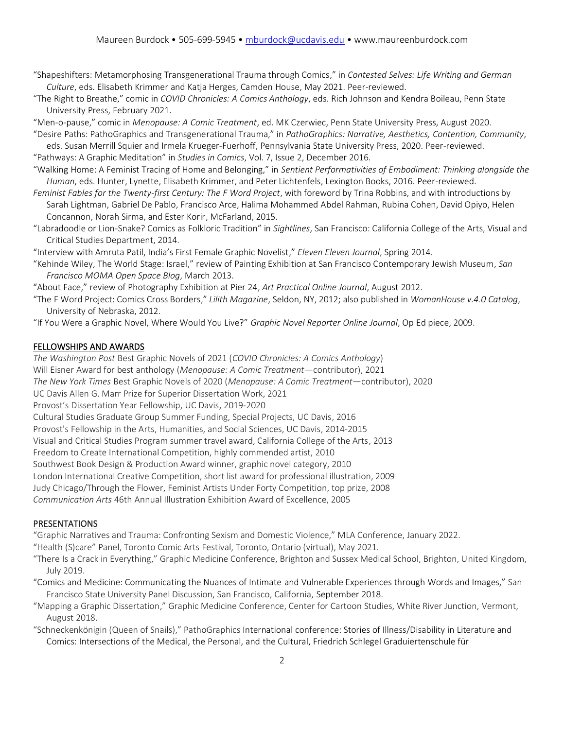- "Shapeshifters: Metamorphosing Transgenerational Trauma through Comics," in *Contested Selves: Life Writing and German Culture*, eds. Elisabeth Krimmer and Katja Herges, Camden House, May 2021. Peer-reviewed.
- "The Right to Breathe," comic in *COVID Chronicles: A Comics Anthology*, eds. Rich Johnson and Kendra Boileau, Penn State University Press, February 2021.
- "Men-o-pause," comic in *Menopause: A Comic Treatment*, ed. MK Czerwiec, Penn State University Press, August 2020.
- "Desire Paths: PathoGraphics and Transgenerational Trauma," in *PathoGraphics: Narrative, Aesthetics, Contention, Community*, eds. Susan Merrill Squier and Irmela Krueger-Fuerhoff, Pennsylvania State University Press, 2020. Peer-reviewed.
- "Pathways: A Graphic Meditation" in *Studies in Comics*, Vol. 7, Issue 2, December 2016.
- "Walking Home: A Feminist Tracing of Home and Belonging," in *Sentient Performativities of Embodiment: Thinking alongside the Human*, eds. Hunter, Lynette, Elisabeth Krimmer, and Peter Lichtenfels, Lexington Books, 2016. Peer-reviewed.
- *Feminist Fables for the Twenty-first Century: The F Word Project*, with foreword by Trina Robbins, and with introductions by Sarah Lightman, Gabriel De Pablo, Francisco Arce, Halima Mohammed Abdel Rahman, Rubina Cohen, David Opiyo, Helen Concannon, Norah Sirma, and Ester Korir, McFarland, 2015.
- "Labradoodle or Lion-Snake? Comics as Folkloric Tradition" in *Sightlines*, San Francisco: California College of the Arts, Visual and Critical Studies Department, 2014.
- "Interview with Amruta Patil, India's First Female Graphic Novelist," *Eleven Eleven Journal*, Spring 2014.
- "Kehinde Wiley, The World Stage: Israel," review of Painting Exhibition at San Francisco Contemporary Jewish Museum, *San Francisco MOMA Open Space Blog*, March 2013.
- "About Face," review of Photography Exhibition at Pier 24, *Art Practical Online Journal*, August 2012.
- "The F Word Project: Comics Cross Borders," *Lilith Magazine*, Seldon, NY, 2012; also published in *WomanHouse v.4.0 Catalog*, University of Nebraska, 2012.
- "If You Were a Graphic Novel, Where Would You Live?" *Graphic Novel Reporter Online Journal*, Op Ed piece, 2009.

#### FELLOWSHIPS AND AWARDS

*The Washington Post* Best Graphic Novels of 2021 (*COVID Chronicles: A Comics Anthology*) Will Eisner Award for best anthology (*Menopause: A Comic Treatment*—contributor), 2021 *The New York Times* Best Graphic Novels of 2020 (*Menopause: A Comic Treatment*—contributor), 2020 UC Davis Allen G. Marr Prize for Superior Dissertation Work, 2021 Provost's Dissertation Year Fellowship, UC Davis, 2019-2020 Cultural Studies Graduate Group Summer Funding, Special Projects, UC Davis, 2016 Provost's Fellowship in the Arts, Humanities, and Social Sciences, UC Davis, 2014-2015 Visual and Critical Studies Program summer travel award, California College of the Arts, 2013 Freedom to Create International Competition, highly commended artist, 2010 Southwest Book Design & Production Award winner, graphic novel category, 2010 London International Creative Competition, short list award for professional illustration, 2009 Judy Chicago/Through the Flower, Feminist Artists Under Forty Competition, top prize, 2008 *Communication Arts* 46th Annual Illustration Exhibition Award of Excellence, 2005

#### **PRESENTATIONS**

"Graphic Narratives and Trauma: Confronting Sexism and Domestic Violence," MLA Conference, January 2022.

- "Health (S)care" Panel, Toronto Comic Arts Festival, Toronto, Ontario (virtual), May 2021.
- "There Is a Crack in Everything," Graphic Medicine Conference, Brighton and Sussex Medical School, Brighton, United Kingdom, July 2019.
- "Comics and Medicine: Communicating the Nuances of Intimate and Vulnerable Experiences through Words and Images," San Francisco State University Panel Discussion, San Francisco, California, September 2018.
- "Mapping a Graphic Dissertation," Graphic Medicine Conference, Center for Cartoon Studies, White River Junction, Vermont, August 2018.
- "Schneckenkönigin (Queen of Snails)," PathoGraphics International conference: Stories of Illness/Disability in Literature and Comics: Intersections of the Medical, the Personal, and the Cultural, Friedrich Schlegel Graduiertenschule für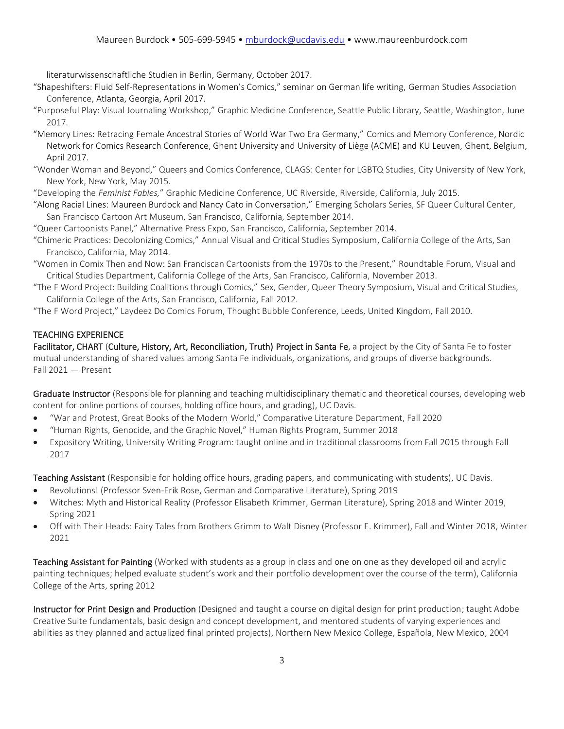literaturwissenschaftliche Studien in Berlin, Germany, October 2017.

- "Shapeshifters: Fluid Self-Representations in Women's Comics," seminar on German life writing, German Studies Association Conference, Atlanta, Georgia, April 2017.
- "Purposeful Play: Visual Journaling Workshop," Graphic Medicine Conference, Seattle Public Library, Seattle, Washington, June 2017.
- "Memory Lines: Retracing Female Ancestral Stories of World War Two Era Germany," Comics and Memory Conference, Nordic Network for Comics Research Conference, Ghent University and University of Liège (ACME) and KU Leuven, Ghent, Belgium, April 2017.
- "Wonder Woman and Beyond," Queers and Comics Conference, CLAGS: Center for LGBTQ Studies, City University of New York, New York, New York, May 2015.

"Developing the *Feminist Fables,*" Graphic Medicine Conference, UC Riverside, Riverside, California, July 2015.

"Along Racial Lines: Maureen Burdock and Nancy Cato in Conversation," Emerging Scholars Series, SF Queer Cultural Center, San Francisco Cartoon Art Museum, San Francisco, California, September 2014.

"Queer Cartoonists Panel," Alternative Press Expo, San Francisco, California, September 2014.

- "Chimeric Practices: Decolonizing Comics," Annual Visual and Critical Studies Symposium, California College of the Arts, San Francisco, California, May 2014.
- "Women in Comix Then and Now: San Franciscan Cartoonists from the 1970s to the Present," Roundtable Forum, Visual and Critical Studies Department, California College of the Arts, San Francisco, California, November 2013.
- "The F Word Project: Building Coalitions through Comics," Sex, Gender, Queer Theory Symposium, Visual and Critical Studies, California College of the Arts, San Francisco, California, Fall 2012.

"The F Word Project," Laydeez Do Comics Forum, Thought Bubble Conference, Leeds, United Kingdom, Fall 2010.

#### TEACHING EXPERIENCE

Facilitator, CHART (Culture, History, Art, Reconciliation, Truth) Project in Santa Fe, a project by the City of Santa Fe to foster mutual understanding of shared values among Santa Fe individuals, organizations, and groups of diverse backgrounds. Fall 2021 — Present

Graduate Instructor (Responsible for planning and teaching multidisciplinary thematic and theoretical courses, developing web content for online portions of courses, holding office hours, and grading), UC Davis.

- "War and Protest, Great Books of the Modern World," Comparative Literature Department, Fall 2020
- "Human Rights, Genocide, and the Graphic Novel," Human Rights Program, Summer 2018
- Expository Writing, University Writing Program: taught online and in traditional classrooms from Fall 2015 through Fall 2017

Teaching Assistant (Responsible for holding office hours, grading papers, and communicating with students), UC Davis.

- Revolutions! (Professor Sven-Erik Rose, German and Comparative Literature), Spring 2019
- Witches: Myth and Historical Reality (Professor Elisabeth Krimmer, German Literature), Spring 2018 and Winter 2019, Spring 2021
- Off with Their Heads: Fairy Tales from Brothers Grimm to Walt Disney (Professor E. Krimmer), Fall and Winter 2018, Winter 2021

Teaching Assistant for Painting (Worked with students as a group in class and one on one as they developed oil and acrylic painting techniques; helped evaluate student's work and their portfolio development over the course of the term), California College of the Arts, spring 2012

Instructor for Print Design and Production (Designed and taught a course on digital design for print production; taught Adobe Creative Suite fundamentals, basic design and concept development, and mentored students of varying experiences and abilities as they planned and actualized final printed projects), Northern New Mexico College, Española, New Mexico, 2004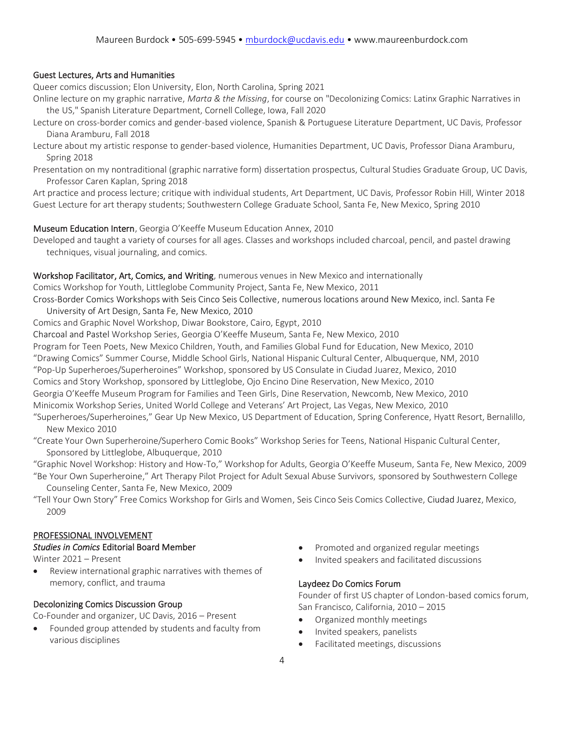## Guest Lectures, Arts and Humanities

Queer comics discussion; Elon University, Elon, North Carolina, Spring 2021

Online lecture on my graphic narrative, *Marta & the Missing*, for course on "Decolonizing Comics: Latinx Graphic Narratives in the US," Spanish Literature Department, Cornell College, Iowa, Fall 2020

- Lecture on cross-border comics and gender-based violence, Spanish & Portuguese Literature Department, UC Davis, Professor Diana Aramburu, Fall 2018
- Lecture about my artistic response to gender-based violence, Humanities Department, UC Davis, Professor Diana Aramburu, Spring 2018
- Presentation on my nontraditional (graphic narrative form) dissertation prospectus, Cultural Studies Graduate Group, UC Davis, Professor Caren Kaplan, Spring 2018

Art practice and process lecture; critique with individual students, Art Department, UC Davis, Professor Robin Hill, Winter 2018 Guest Lecture for art therapy students; Southwestern College Graduate School, Santa Fe, New Mexico, Spring 2010

## Museum Education Intern, Georgia O'Keeffe Museum Education Annex, 2010

Developed and taught a variety of courses for all ages. Classes and workshops included charcoal, pencil, and pastel drawing techniques, visual journaling, and comics.

## Workshop Facilitator, Art, Comics, and Writing, numerous venues in New Mexico and internationally

Comics Workshop for Youth, Littleglobe Community Project, Santa Fe, New Mexico, 2011

Cross-Border Comics Workshops with Seis Cinco Seis Collective, numerous locations around New Mexico, incl. Santa Fe University of Art Design, Santa Fe, New Mexico, 2010

Comics and Graphic Novel Workshop, Diwar Bookstore, Cairo, Egypt, 2010

Charcoal and Pastel Workshop Series, Georgia O'Keeffe Museum, Santa Fe, New Mexico, 2010

Program for Teen Poets, New Mexico Children, Youth, and Families Global Fund for Education, New Mexico, 2010

"Drawing Comics" Summer Course, Middle School Girls, National Hispanic Cultural Center, Albuquerque, NM, 2010

"Pop-Up Superheroes/Superheroines" Workshop, sponsored by US Consulate in Ciudad Juarez, Mexico, 2010

Comics and Story Workshop, sponsored by Littleglobe, Ojo Encino Dine Reservation, New Mexico, 2010

Georgia O'Keeffe Museum Program for Families and Teen Girls, Dine Reservation, Newcomb, New Mexico, 2010

Minicomix Workshop Series, United World College and Veterans' Art Project, Las Vegas, New Mexico, 2010

- "Superheroes/Superheroines," Gear Up New Mexico, US Department of Education, Spring Conference, Hyatt Resort, Bernalillo, New Mexico 2010
- "Create Your Own Superheroine/Superhero Comic Books" Workshop Series for Teens, National Hispanic Cultural Center, Sponsored by Littleglobe, Albuquerque, 2010

"Graphic Novel Workshop: History and How-To," Workshop for Adults, Georgia O'Keeffe Museum, Santa Fe, New Mexico, 2009

- "Be Your Own Superheroine," Art Therapy Pilot Project for Adult Sexual Abuse Survivors, sponsored by Southwestern College Counseling Center, Santa Fe, New Mexico, 2009
- "Tell Your Own Story" Free Comics Workshop for Girls and Women, Seis Cinco Seis Comics Collective, Ciudad Juarez, Mexico, 2009

## PROFESSIONAL INVOLVEMENT

## *Studies in Comics* Editorial Board Member

Winter 2021 – Present

Review international graphic narratives with themes of memory, conflict, and trauma

## Decolonizing Comics Discussion Group

Co-Founder and organizer, UC Davis, 2016 – Present

• Founded group attended by students and faculty from various disciplines

- Promoted and organized regular meetings
- Invited speakers and facilitated discussions

# Laydeez Do Comics Forum

Founder of first US chapter of London-based comics forum, San Francisco, California, 2010 – 2015

- Organized monthly meetings
- Invited speakers, panelists
- Facilitated meetings, discussions